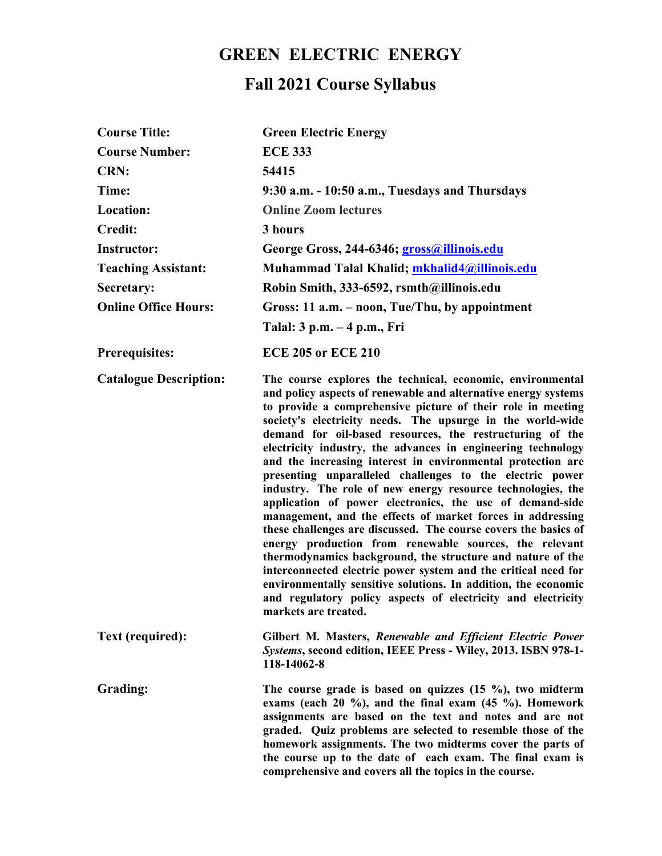## **GREEN ELECTRIC ENERGY**

## **Fall 2021 Course Syllabus**

| <b>Course Title:</b>          | <b>Green Electric Energy</b>                                                                                                                                                                                                                                                                                                                                                                                                                                                                                                                                                                                                                                                                                                                                                                                                                                                                                                                                                                                                                                                                                                     |
|-------------------------------|----------------------------------------------------------------------------------------------------------------------------------------------------------------------------------------------------------------------------------------------------------------------------------------------------------------------------------------------------------------------------------------------------------------------------------------------------------------------------------------------------------------------------------------------------------------------------------------------------------------------------------------------------------------------------------------------------------------------------------------------------------------------------------------------------------------------------------------------------------------------------------------------------------------------------------------------------------------------------------------------------------------------------------------------------------------------------------------------------------------------------------|
| <b>Course Number:</b>         | <b>ECE 333</b>                                                                                                                                                                                                                                                                                                                                                                                                                                                                                                                                                                                                                                                                                                                                                                                                                                                                                                                                                                                                                                                                                                                   |
| <b>CRN:</b>                   | 54415                                                                                                                                                                                                                                                                                                                                                                                                                                                                                                                                                                                                                                                                                                                                                                                                                                                                                                                                                                                                                                                                                                                            |
| Time:                         | 9:30 a.m. - 10:50 a.m., Tuesdays and Thursdays                                                                                                                                                                                                                                                                                                                                                                                                                                                                                                                                                                                                                                                                                                                                                                                                                                                                                                                                                                                                                                                                                   |
| Location:                     | <b>Online Zoom lectures</b>                                                                                                                                                                                                                                                                                                                                                                                                                                                                                                                                                                                                                                                                                                                                                                                                                                                                                                                                                                                                                                                                                                      |
| <b>Credit:</b>                | 3 hours                                                                                                                                                                                                                                                                                                                                                                                                                                                                                                                                                                                                                                                                                                                                                                                                                                                                                                                                                                                                                                                                                                                          |
| <b>Instructor:</b>            | George Gross, 244-6346; gross@illinois.edu                                                                                                                                                                                                                                                                                                                                                                                                                                                                                                                                                                                                                                                                                                                                                                                                                                                                                                                                                                                                                                                                                       |
| <b>Teaching Assistant:</b>    | Muhammad Talal Khalid; mkhalid4@illinois.edu                                                                                                                                                                                                                                                                                                                                                                                                                                                                                                                                                                                                                                                                                                                                                                                                                                                                                                                                                                                                                                                                                     |
| Secretary:                    | Robin Smith, 333-6592, rsmth@illinois.edu                                                                                                                                                                                                                                                                                                                                                                                                                                                                                                                                                                                                                                                                                                                                                                                                                                                                                                                                                                                                                                                                                        |
| <b>Online Office Hours:</b>   | Gross: 11 a.m. – noon, Tue/Thu, by appointment                                                                                                                                                                                                                                                                                                                                                                                                                                                                                                                                                                                                                                                                                                                                                                                                                                                                                                                                                                                                                                                                                   |
|                               | Talal: 3 p.m. – 4 p.m., Fri                                                                                                                                                                                                                                                                                                                                                                                                                                                                                                                                                                                                                                                                                                                                                                                                                                                                                                                                                                                                                                                                                                      |
| <b>Prerequisites:</b>         | <b>ECE 205 or ECE 210</b>                                                                                                                                                                                                                                                                                                                                                                                                                                                                                                                                                                                                                                                                                                                                                                                                                                                                                                                                                                                                                                                                                                        |
| <b>Catalogue Description:</b> | The course explores the technical, economic, environmental<br>and policy aspects of renewable and alternative energy systems<br>to provide a comprehensive picture of their role in meeting<br>society's electricity needs. The upsurge in the world-wide<br>demand for oil-based resources, the restructuring of the<br>electricity industry, the advances in engineering technology<br>and the increasing interest in environmental protection are<br>presenting unparalleled challenges to the electric power<br>industry. The role of new energy resource technologies, the<br>application of power electronics, the use of demand-side<br>management, and the effects of market forces in addressing<br>these challenges are discussed. The course covers the basics of<br>energy production from renewable sources, the relevant<br>thermodynamics background, the structure and nature of the<br>interconnected electric power system and the critical need for<br>environmentally sensitive solutions. In addition, the economic<br>and regulatory policy aspects of electricity and electricity<br>markets are treated. |
| Text (required):              | Gilbert M. Masters, Renewable and Efficient Electric Power<br>Systems, second edition, IEEE Press - Wiley, 2013. ISBN 978-1-<br>118-14062-8                                                                                                                                                                                                                                                                                                                                                                                                                                                                                                                                                                                                                                                                                                                                                                                                                                                                                                                                                                                      |
| Grading:                      | The course grade is based on quizzes $(15 \%)$ , two midterm<br>exams (each $20\%$ ), and the final exam $(45\%)$ . Homework<br>assignments are based on the text and notes and are not<br>graded. Quiz problems are selected to resemble those of the<br>homework assignments. The two midterms cover the parts of<br>the course up to the date of each exam. The final exam is<br>comprehensive and covers all the topics in the course.                                                                                                                                                                                                                                                                                                                                                                                                                                                                                                                                                                                                                                                                                       |